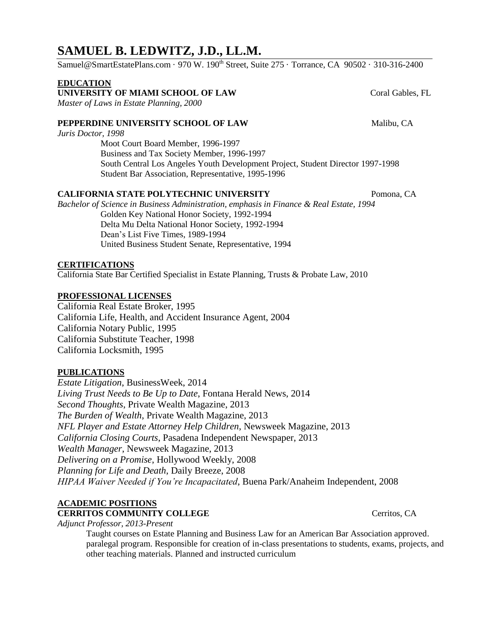# **SAMUEL B. LEDWITZ, J.D., LL.M.**

Samuel@SmartEstatePlans.com · 970 W. 190<sup>th</sup> Street, Suite 275 · Torrance, CA 90502 · 310-316-2400

#### **EDUCATION**

**UNIVERSITY OF MIAMI SCHOOL OF LAW** Coral Gables, FL

*Master of Laws in Estate Planning, 2000*

## **PEPPERDINE UNIVERSITY SCHOOL OF LAW Malibu, CA**

*Juris Doctor, 1998*

Moot Court Board Member, 1996-1997 Business and Tax Society Member, 1996-1997 South Central Los Angeles Youth Development Project, Student Director 1997-1998 Student Bar Association, Representative, 1995-1996

## **CALIFORNIA STATE POLYTECHNIC UNIVERSITY** Pomona, CA

*Bachelor of Science in Business Administration, emphasis in Finance & Real Estate, 1994* Golden Key National Honor Society, 1992-1994 Delta Mu Delta National Honor Society, 1992-1994 Dean's List Five Times, 1989-1994 United Business Student Senate, Representative, 1994

### **CERTIFICATIONS**

California State Bar Certified Specialist in Estate Planning, Trusts & Probate Law, 2010

#### **PROFESSIONAL LICENSES**

California Real Estate Broker, 1995 California Life, Health, and Accident Insurance Agent, 2004 California Notary Public, 1995 California Substitute Teacher, 1998 California Locksmith, 1995

#### **PUBLICATIONS**

*Estate Litigation*, BusinessWeek, 2014 *Living Trust Needs to Be Up to Date*, Fontana Herald News, 2014 *Second Thoughts*, Private Wealth Magazine, 2013 *The Burden of Wealth*, Private Wealth Magazine, 2013 *NFL Player and Estate Attorney Help Children*, Newsweek Magazine, 2013 *California Closing Courts*, Pasadena Independent Newspaper, 2013 *Wealth Manager*, Newsweek Magazine, 2013 *Delivering on a Promise*, Hollywood Weekly, 2008 *Planning for Life and Death*, Daily Breeze, 2008 *HIPAA Waiver Needed if You're Incapacitated*, Buena Park/Anaheim Independent, 2008

#### **ACADEMIC POSITIONS**

**CERRITOS COMMUNITY COLLEGE** Cerritos, CA

*Adjunct Professor, 2013-Present*

Taught courses on Estate Planning and Business Law for an American Bar Association approved. paralegal program. Responsible for creation of in-class presentations to students, exams, projects, and other teaching materials. Planned and instructed curriculum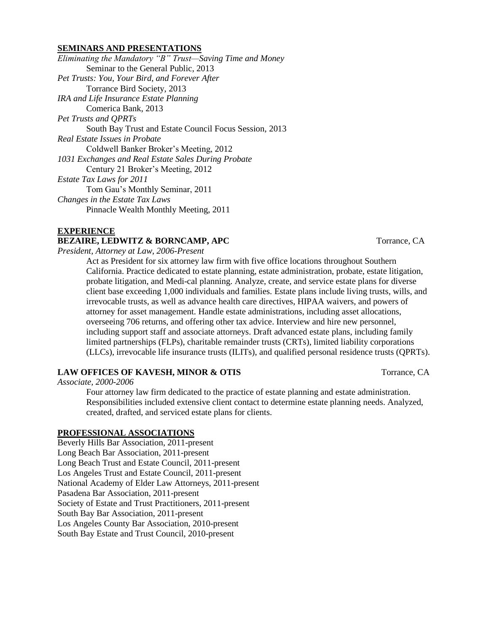#### **SEMINARS AND PRESENTATIONS**

*Eliminating the Mandatory "B" Trust—Saving Time and Money* Seminar to the General Public, 2013 *Pet Trusts: You, Your Bird, and Forever After* Torrance Bird Society, 2013 *IRA and Life Insurance Estate Planning* Comerica Bank, 2013 *Pet Trusts and QPRTs* South Bay Trust and Estate Council Focus Session, 2013 *Real Estate Issues in Probate* Coldwell Banker Broker's Meeting, 2012 *1031 Exchanges and Real Estate Sales During Probate* Century 21 Broker's Meeting, 2012 *Estate Tax Laws for 2011* Tom Gau's Monthly Seminar, 2011 *Changes in the Estate Tax Laws* Pinnacle Wealth Monthly Meeting, 2011

#### **EXPERIENCE**

#### **BEZAIRE, LEDWITZ & BORNCAMP, APC** Torrance, CA

*President, Attorney at Law*, *2006-Present*

Act as President for six attorney law firm with five office locations throughout Southern California. Practice dedicated to estate planning, estate administration, probate, estate litigation, probate litigation, and Medi-cal planning. Analyze, create, and service estate plans for diverse client base exceeding 1,000 individuals and families. Estate plans include living trusts, wills, and irrevocable trusts, as well as advance health care directives, HIPAA waivers, and powers of attorney for asset management. Handle estate administrations, including asset allocations, overseeing 706 returns, and offering other tax advice. Interview and hire new personnel, including support staff and associate attorneys. Draft advanced estate plans, including family limited partnerships (FLPs), charitable remainder trusts (CRTs), limited liability corporations (LLCs), irrevocable life insurance trusts (ILITs), and qualified personal residence trusts (QPRTs).

#### **LAW OFFICES OF KAVESH, MINOR & OTIS** Torrance, CA

*Associate, 2000-2006*

Four attorney law firm dedicated to the practice of estate planning and estate administration. Responsibilities included extensive client contact to determine estate planning needs. Analyzed, created, drafted, and serviced estate plans for clients.

#### **PROFESSIONAL ASSOCIATIONS**

Beverly Hills Bar Association, 2011-present Long Beach Bar Association, 2011-present Long Beach Trust and Estate Council, 2011-present Los Angeles Trust and Estate Council, 2011-present National Academy of Elder Law Attorneys, 2011-present Pasadena Bar Association, 2011-present Society of Estate and Trust Practitioners, 2011-present South Bay Bar Association, 2011-present Los Angeles County Bar Association, 2010-present South Bay Estate and Trust Council, 2010-present